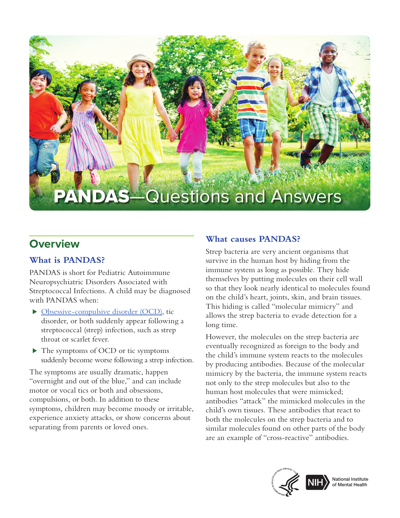

# **Overview**

# **What is PANDAS?**

PANDAS is short for Pediatric Autoimmune Neuropsychiatric Disorders Associated with Streptococcal Infections. A child may be diagnosed with PANDAS when:

- ⊲ [Obsessive-compulsive disorder \(OCD\)](https://www.nimh.nih.gov/health/topics/obsessive-compulsive-disorder-ocd/index.shtml), tic disorder, or both suddenly appear following a streptococcal (strep) infection, such as strep throat or scarlet fever.
- ⊲ The symptoms of OCD or tic symptoms suddenly become worse following a strep infection.

The symptoms are usually dramatic, happen "overnight and out of the blue," and can include motor or vocal tics or both and obsessions, compulsions, or both. In addition to these symptoms, children may become moody or irritable, experience anxiety attacks, or show concerns about separating from parents or loved ones.

## **What causes PANDAS?**

Strep bacteria are very ancient organisms that survive in the human host by hiding from the immune system as long as possible. They hide themselves by putting molecules on their cell wall so that they look nearly identical to molecules found on the child's heart, joints, skin, and brain tissues. This hiding is called "molecular mimicry" and allows the strep bacteria to evade detection for a long time.

However, the molecules on the strep bacteria are eventually recognized as foreign to the body and the child's immune system reacts to the molecules by producing antibodies. Because of the molecular mimicry by the bacteria, the immune system reacts not only to the strep molecules but also to the human host molecules that were mimicked; antibodies "attack" the mimicked molecules in the child's own tissues. These antibodies that react to both the molecules on the strep bacteria and to similar molecules found on other parts of the body are an example of "cross-reactive" antibodies.



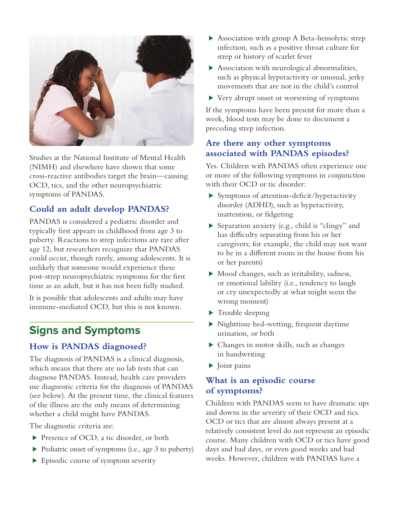

Studies at the National Institute of Mental Health (NIMH) and elsewhere have shown that some cross-reactive antibodies target the brain—causing OCD, tics, and the other neuropsychiatric symptoms of PANDAS.

# **Could an adult develop PANDAS?**

PANDAS is considered a pediatric disorder and typically first appears in childhood from age 3 to puberty. Reactions to strep infections are rare after age 12, but researchers recognize that PANDAS could occur, though rarely, among adolescents. It is unlikely that someone would experience these post-strep neuropsychiatric symptoms for the first time as an adult, but it has not been fully studied.

It is possible that adolescents and adults may have immune-mediated OCD, but this is not known.

# **Signs and Symptoms**

# **How is PANDAS diagnosed?**

The diagnosis of PANDAS is a clinical diagnosis, which means that there are no lab tests that can diagnose PANDAS. Instead, health care providers use diagnostic criteria for the diagnosis of PANDAS (see below). At the present time, the clinical features of the illness are the only means of determining whether a child might have PANDAS.

The diagnostic criteria are:

- ▶ Presence of OCD, a tic disorder, or both
- ⊲ Pediatric onset of symptoms (i.e., age 3 to puberty)
- ► Episodic course of symptom severity
- ► Association with group A Beta-hemolytic strep infection, such as a positive throat culture for strep or history of scarlet fever
- ▶ Association with neurological abnormalities, such as physical hyperactivity or unusual, jerky movements that are not in the child's control
- ⊲ Very abrupt onset or worsening of symptoms

If the symptoms have been present for more than a week, blood tests may be done to document a preceding strep infection.

### **Are there any other symptoms associated with PANDAS episodes?**

Yes. Children with PANDAS often experience one or more of the following symptoms in conjunction with their OCD or tic disorder:

- ⊲ Symptoms of attention-deficit/hyperactivity disorder (ADHD), such as hyperactivity, inattention, or fidgeting
- ⊲ Separation anxiety (e.g., child is "clingy" and has difficulty separating from his or her caregivers; for example, the child may not want to be in a different room in the house from his or her parents)
- ⊲ Mood changes, such as irritability, sadness, or emotional lability (i.e., tendency to laugh or cry unexpectedly at what might seem the wrong moment)
- ► Trouble sleeping
- ⊲ Nighttime bed-wetting, frequent daytime urination, or both
- ⊲ Changes in motor skills, such as changes in handwriting
- ► Joint pains

### **What is an episodic course of symptoms?**

Children with PANDAS seem to have dramatic ups and downs in the severity of their OCD and tics. OCD or tics that are almost always present at a relatively consistent level do not represent an episodic course. Many children with OCD or tics have good days and bad days, or even good weeks and bad weeks. However, children with PANDAS have a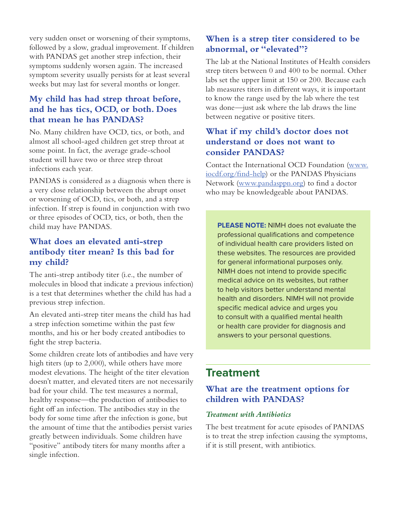very sudden onset or worsening of their symptoms, followed by a slow, gradual improvement. If children with PANDAS get another strep infection, their symptoms suddenly worsen again. The increased symptom severity usually persists for at least several weeks but may last for several months or longer.

# **My child has had strep throat before, and he has tics, OCD, or both. Does that mean he has PANDAS?**

No. Many children have OCD, tics, or both, and almost all school-aged children get strep throat at some point. In fact, the average grade-school student will have two or three strep throat infections each year.

PANDAS is considered as a diagnosis when there is a very close relationship between the abrupt onset or worsening of OCD, tics, or both, and a strep infection. If strep is found in conjunction with two or three episodes of OCD, tics, or both, then the child may have PANDAS.

### **What does an elevated anti-strep antibody titer mean? Is this bad for my child?**

The anti-strep antibody titer (i.e., the number of molecules in blood that indicate a previous infection) is a test that determines whether the child has had a previous strep infection.

An elevated anti-strep titer means the child has had a strep infection sometime within the past few months, and his or her body created antibodies to fight the strep bacteria.

Some children create lots of antibodies and have very high titers (up to 2,000), while others have more modest elevations. The height of the titer elevation doesn't matter, and elevated titers are not necessarily bad for your child. The test measures a normal, healthy response—the production of antibodies to fight off an infection. The antibodies stay in the body for some time after the infection is gone, but the amount of time that the antibodies persist varies greatly between individuals. Some children have "positive" antibody titers for many months after a single infection.

## **When is a strep titer considered to be abnormal, or "elevated"?**

The lab at the National Institutes of Health considers strep titers between 0 and 400 to be normal. Other labs set the upper limit at 150 or 200. Because each lab measures titers in different ways, it is important to know the range used by the lab where the test was done—just ask where the lab draws the line between negative or positive titers.

### **What if my child's doctor does not understand or does not want to consider PANDAS?**

Contact the International OCD Foundation [\(www.](https://iocdf.org/find-help/) [iocdf.org/find-help\)](https://iocdf.org/find-help/) or the PANDAS Physicians Network [\(www.pandasppn.org](https://www.pandasppn.org/)) to find a doctor who may be knowledgeable about PANDAS.

**PLEASE NOTE:** NIMH does not evaluate the professional qualifications and competence of individual health care providers listed on these websites. The resources are provided for general informational purposes only. NIMH does not intend to provide specific medical advice on its websites, but rather to help visitors better understand mental health and disorders. NIMH will not provide specific medical advice and urges you to consult with a qualified mental health or health care provider for diagnosis and answers to your personal questions.

# **Treatment**

# **What are the treatment options for children with PANDAS?**

#### *Treatment with Antibiotics*

The best treatment for acute episodes of PANDAS is to treat the strep infection causing the symptoms, if it is still present, with antibiotics.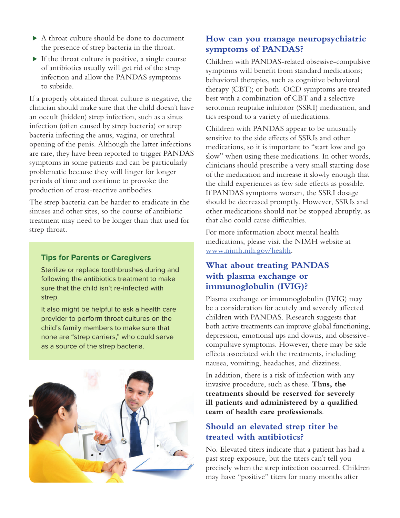- ▶ A throat culture should be done to document the presence of strep bacteria in the throat.
- ⊲ If the throat culture is positive, a single course of antibiotics usually will get rid of the strep infection and allow the PANDAS symptoms to subside.

If a properly obtained throat culture is negative, the clinician should make sure that the child doesn't have an occult (hidden) strep infection, such as a sinus infection (often caused by strep bacteria) or strep bacteria infecting the anus, vagina, or urethral opening of the penis. Although the latter infections are rare, they have been reported to trigger PANDAS symptoms in some patients and can be particularly problematic because they will linger for longer periods of time and continue to provoke the production of cross-reactive antibodies.

The strep bacteria can be harder to eradicate in the sinuses and other sites, so the course of antibiotic treatment may need to be longer than that used for strep throat.

#### **Tips for Parents or Caregivers**

Sterilize or replace toothbrushes during and following the antibiotics treatment to make sure that the child isn't re-infected with strep.

It also might be helpful to ask a health care provider to perform throat cultures on the child's family members to make sure that none are "strep carriers," who could serve as a source of the strep bacteria.



### **How can you manage neuropsychiatric symptoms of PANDAS?**

Children with PANDAS-related obsessive-compulsive symptoms will benefit from standard medications; behavioral therapies, such as cognitive behavioral therapy (CBT); or both. OCD symptoms are treated best with a combination of CBT and a selective serotonin reuptake inhibitor (SSRI) medication, and tics respond to a variety of medications.

Children with PANDAS appear to be unusually sensitive to the side effects of SSRIs and other medications, so it is important to "start low and go slow" when using these medications. In other words, clinicians should prescribe a very small starting dose of the medication and increase it slowly enough that the child experiences as few side effects as possible. If PANDAS symptoms worsen, the SSRI dosage should be decreased promptly. However, SSRIs and other medications should not be stopped abruptly, as that also could cause difficulties.

For more information about mental health medications, please visit the NIMH website at [www.nimh.nih.gov/health](http://www.nimh.nih.gov/health).

### **What about treating PANDAS with plasma exchange or immunoglobulin (IVIG)?**

Plasma exchange or immunoglobulin (IVIG) may be a consideration for acutely and severely affected children with PANDAS. Research suggests that both active treatments can improve global functioning, depression, emotional ups and downs, and obsessivecompulsive symptoms. However, there may be side effects associated with the treatments, including nausea, vomiting, headaches, and dizziness.

In addition, there is a risk of infection with any invasive procedure, such as these. **Thus, the treatments should be reserved for severely ill patients and administered by a qualified team of health care professionals**.

## **Should an elevated strep titer be treated with antibiotics?**

No. Elevated titers indicate that a patient has had a past strep exposure, but the titers can't tell you precisely when the strep infection occurred. Children may have "positive" titers for many months after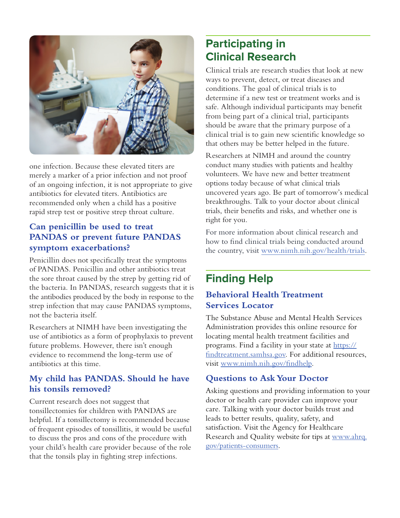

one infection. Because these elevated titers are merely a marker of a prior infection and not proof of an ongoing infection, it is not appropriate to give antibiotics for elevated titers. Antibiotics are recommended only when a child has a positive rapid strep test or positive strep throat culture.

# **Can penicillin be used to treat PANDAS or prevent future PANDAS symptom exacerbations?**

Penicillin does not specifically treat the symptoms of PANDAS. Penicillin and other antibiotics treat the sore throat caused by the strep by getting rid of the bacteria. In PANDAS, research suggests that it is the antibodies produced by the body in response to the strep infection that may cause PANDAS symptoms, not the bacteria itself.

Researchers at NIMH have been investigating the use of antibiotics as a form of prophylaxis to prevent future problems. However, there isn't enough evidence to recommend the long-term use of antibiotics at this time.

# **My child has PANDAS. Should he have his tonsils removed?**

Current research does not suggest that tonsillectomies for children with PANDAS are helpful. If a tonsillectomy is recommended because of frequent episodes of tonsillitis, it would be useful to discuss the pros and cons of the procedure with your child's health care provider because of the role that the tonsils play in fighting strep infections.

# **Participating in Clinical Research**

Clinical trials are research studies that look at new ways to prevent, detect, or treat diseases and conditions. The goal of clinical trials is to determine if a new test or treatment works and is safe. Although individual participants may benefit from being part of a clinical trial, participants should be aware that the primary purpose of a clinical trial is to gain new scientific knowledge so that others may be better helped in the future.

Researchers at NIMH and around the country conduct many studies with patients and healthy volunteers. We have new and better treatment options today because of what clinical trials uncovered years ago. Be part of tomorrow's medical breakthroughs. Talk to your doctor about clinical trials, their benefits and risks, and whether one is right for you.

For more information about clinical research and how to find clinical trials being conducted around the country, visit [www.nimh.nih.gov/health/trials.](https://www.nimh.nih.gov/health/trials)

# **Finding Help**

## **Behavioral Health Treatment Services Locator**

The Substance Abuse and Mental Health Services Administration provides this online resource for locating mental health treatment facilities and programs. Find a facility in your state at [https://](https://findtreatment.samhsa.gov/) [findtreatment.samhsa.gov](https://findtreatment.samhsa.gov/). For additional resources, visit [www.nimh.nih.gov/findhelp](https://www.nimh.nih.gov/findhelp).

## **Questions to Ask Your Doctor**

Asking questions and providing information to your doctor or health care provider can improve your care. Talking with your doctor builds trust and leads to better results, quality, safety, and satisfaction. Visit the Agency for Healthcare Research and Quality website for tips at [www.ahrq.](https://www.ahrq.gov/patients-consumers) [gov/patients-consumers](https://www.ahrq.gov/patients-consumers).